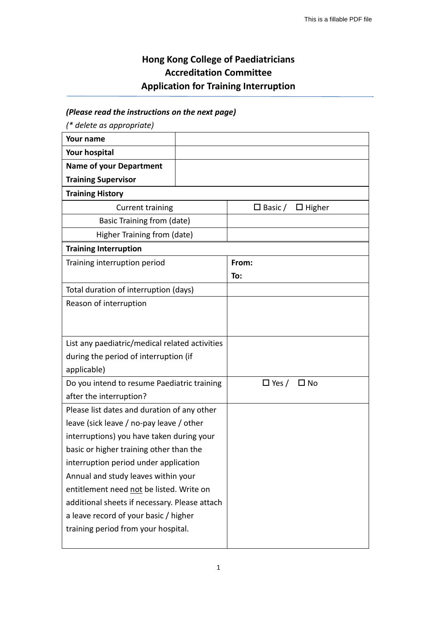## **Hong Kong College of Paediatricians Accreditation Committee Application for Training Interruption**

## *(Please read the instructions on the next page)*

*(\* delete as appropriate)*

| Your name                                      |  |                              |              |  |
|------------------------------------------------|--|------------------------------|--------------|--|
| Your hospital                                  |  |                              |              |  |
| <b>Name of your Department</b>                 |  |                              |              |  |
| <b>Training Supervisor</b>                     |  |                              |              |  |
| <b>Training History</b>                        |  |                              |              |  |
| <b>Current training</b>                        |  | $\Box$ Basic / $\Box$ Higher |              |  |
| Basic Training from (date)                     |  |                              |              |  |
| Higher Training from (date)                    |  |                              |              |  |
| <b>Training Interruption</b>                   |  |                              |              |  |
| Training interruption period                   |  | From:                        |              |  |
|                                                |  | To:                          |              |  |
| Total duration of interruption (days)          |  |                              |              |  |
| Reason of interruption                         |  |                              |              |  |
|                                                |  |                              |              |  |
|                                                |  |                              |              |  |
| List any paediatric/medical related activities |  |                              |              |  |
| during the period of interruption (if          |  |                              |              |  |
| applicable)                                    |  |                              |              |  |
| Do you intend to resume Paediatric training    |  | $\Box$ Yes /                 | $\square$ No |  |
| after the interruption?                        |  |                              |              |  |
| Please list dates and duration of any other    |  |                              |              |  |
| leave (sick leave / no-pay leave / other       |  |                              |              |  |
| interruptions) you have taken during your      |  |                              |              |  |
| basic or higher training other than the        |  |                              |              |  |
| interruption period under application          |  |                              |              |  |
| Annual and study leaves within your            |  |                              |              |  |
| entitlement need not be listed. Write on       |  |                              |              |  |
| additional sheets if necessary. Please attach  |  |                              |              |  |
| a leave record of your basic / higher          |  |                              |              |  |
| training period from your hospital.            |  |                              |              |  |
|                                                |  |                              |              |  |